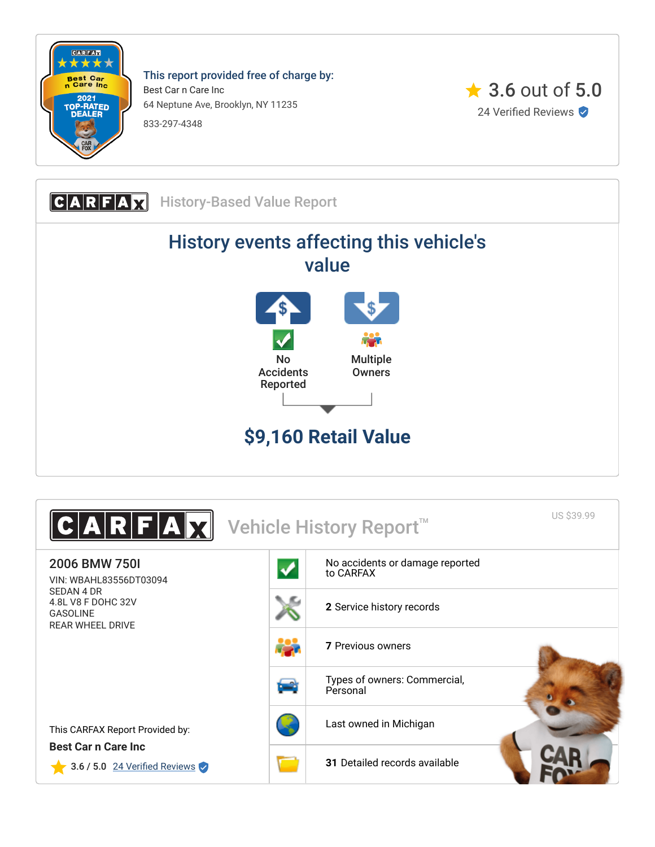

This report provided free of charge by: Best Car n Care Inc 64 Neptune Ave, Brooklyn, NY 11235 833-297-4348



**CARFAX** History-Based Value Report History events affecting this vehicle's value No Accidents Reported Multiple **Owners \$9,160 Retail Value**

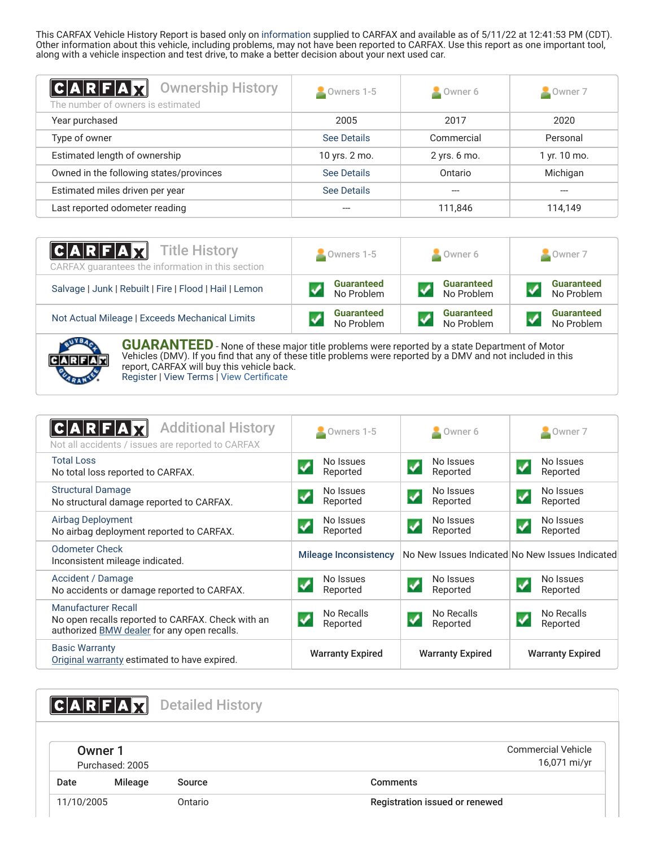This CARFAX Vehicle History Report is based only on [information](http://www.carfax.com/company/vhr-data-sources) supplied to CARFAX and available as of 5/11/22 at 12:41:53 PM (CDT). Other information about this vehicle, including problems, may not have been reported to CARFAX. Use this report as one important tool, along with a vehicle inspection and test drive, to make a better decision about your next used car.

<span id="page-1-2"></span>

| $ C A R F A \chi $<br><b>Ownership History</b><br>The number of owners is estimated | Owners 1-5    | $\triangle$ Owner 6 | Owner 7      |
|-------------------------------------------------------------------------------------|---------------|---------------------|--------------|
| Year purchased                                                                      | 2005          | 2017                | 2020         |
| Type of owner                                                                       | See Details   | Commercial          | Personal     |
| Estimated length of ownership                                                       | 10 yrs. 2 mo. | 2 yrs. 6 mo.        | 1 yr. 10 mo. |
| Owned in the following states/provinces                                             | See Details   | Ontario             | Michigan     |
| Estimated miles driven per year                                                     | See Details   |                     |              |
| Last reported odometer reading                                                      |               | 111,846             | 114,149      |

| <b>CARFAX</b> Title History<br>CARFAX quarantees the information in this section | Owners 1-5                      | Owner 6                         | Owner 7                         |
|----------------------------------------------------------------------------------|---------------------------------|---------------------------------|---------------------------------|
| Salvage   Junk   Rebuilt   Fire   Flood   Hail   Lemon                           | <b>Guaranteed</b><br>No Problem | <b>Guaranteed</b><br>No Problem | <b>Guaranteed</b><br>No Problem |
| Not Actual Mileage   Exceeds Mechanical Limits                                   | <b>Guaranteed</b><br>No Problem | <b>Guaranteed</b><br>No Problem | <b>Guaranteed</b><br>No Problem |



**GUARANTEED** - None of these major title problems were reported by a state Department of Motor Vehicles (DMV). If you find that any of these title problems were reported by a DMV and not included in this report, CARFAX will buy this vehicle back. [Register](https://www.carfax.com/Service/bbg) | [View Terms](http://www.carfaxonline.com/legal/bbgTerms) | [View Certificate](https://www.carfaxonline.com/vhrs/WBAHL83556DT03094)

<span id="page-1-0"></span>

| <b>Additional History</b><br>CARFA<br>Not all accidents / issues are reported to CARFAX                                 | Owners 1-5                                       | $\blacksquare$ Owner 6                        | $\blacktriangle$ Owner 7                        |
|-------------------------------------------------------------------------------------------------------------------------|--------------------------------------------------|-----------------------------------------------|-------------------------------------------------|
| <b>Total Loss</b><br>No total loss reported to CARFAX.                                                                  | No Issues<br>Reported                            | No Issues<br>Reported                         | No Issues<br>Reported                           |
| <b>Structural Damage</b><br>No structural damage reported to CARFAX.                                                    | No Issues<br>$\blacktriangledown$<br>Reported    | No Issues<br>$\blacktriangledown$<br>Reported | No Issues<br>$\blacktriangledown$<br>Reported   |
| Airbag Deployment<br>No airbag deployment reported to CARFAX.                                                           | No Issues<br>$\overline{\mathbf{v}}$<br>Reported | No Issues<br>Reported                         | No Issues<br>$\blacktriangledown$<br>Reported   |
| <b>Odometer Check</b><br>Inconsistent mileage indicated.                                                                | <b>Mileage Inconsistency</b>                     |                                               | No New Issues Indicated No New Issues Indicated |
| Accident / Damage<br>No accidents or damage reported to CARFAX.                                                         | No Issues<br>Reported                            | No Issues<br>Reported                         | No Issues<br>$\blacktriangledown$<br>Reported   |
| Manufacturer Recall<br>No open recalls reported to CARFAX. Check with an<br>authorized BMW dealer for any open recalls. | No Recalls<br>✓<br>Reported                      | No Recalls<br>Reported                        | No Recalls<br>$\blacktriangledown$<br>Reported  |
| <b>Basic Warranty</b><br>Original warranty estimated to have expired.                                                   | <b>Warranty Expired</b>                          | <b>Warranty Expired</b>                       | <b>Warranty Expired</b>                         |

<span id="page-1-3"></span><span id="page-1-1"></span>CARFAX Detailed History Owner 1 Commercial Vehicle 16,071 mi/yr Purchased: 2005 Date Mileage Source **Comments** 11/10/2005 Ontario Registration issued or renewed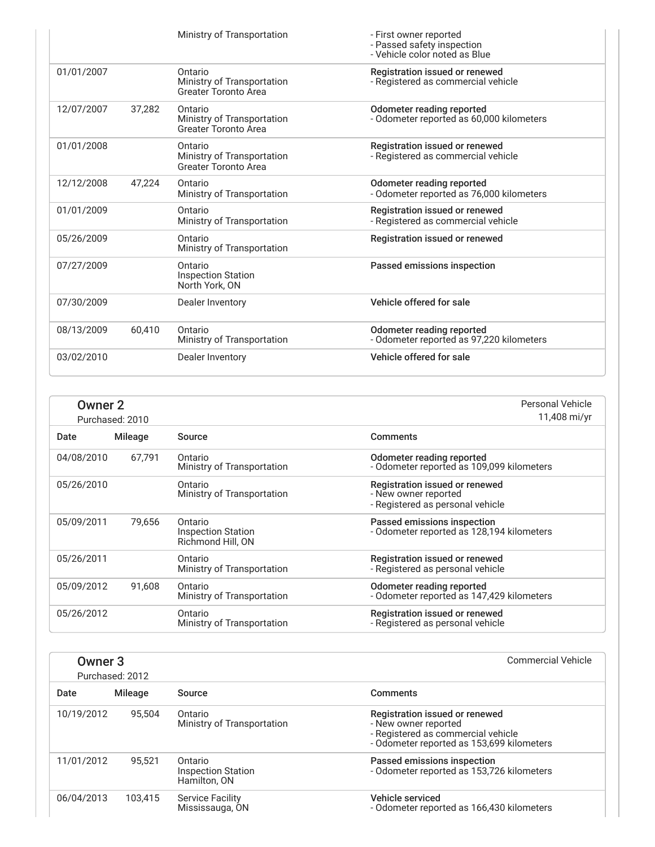|            |        | Ministry of Transportation                                           | - First owner reported<br>- Passed safety inspection<br>- Vehicle color noted as Blue |  |
|------------|--------|----------------------------------------------------------------------|---------------------------------------------------------------------------------------|--|
| 01/01/2007 |        | Ontario<br>Ministry of Transportation<br><b>Greater Toronto Area</b> | Registration issued or renewed<br>- Registered as commercial vehicle                  |  |
| 12/07/2007 | 37,282 | Ontario<br>Ministry of Transportation<br><b>Greater Toronto Area</b> | Odometer reading reported<br>- Odometer reported as 60,000 kilometers                 |  |
| 01/01/2008 |        | Ontario<br>Ministry of Transportation<br>Greater Toronto Area        | Registration issued or renewed<br>- Registered as commercial vehicle                  |  |
| 12/12/2008 | 47,224 | Ontario<br>Ministry of Transportation                                | Odometer reading reported<br>- Odometer reported as 76,000 kilometers                 |  |
| 01/01/2009 |        | Ontario<br>Ministry of Transportation                                | Registration issued or renewed<br>- Registered as commercial vehicle                  |  |
| 05/26/2009 |        | Ontario<br>Ministry of Transportation                                | Registration issued or renewed                                                        |  |
| 07/27/2009 |        | Ontario<br><b>Inspection Station</b><br>North York, ON               | Passed emissions inspection                                                           |  |
| 07/30/2009 |        | Dealer Inventory                                                     | Vehicle offered for sale                                                              |  |
| 08/13/2009 | 60,410 | Ontario<br>Ministry of Transportation                                | Odometer reading reported<br>- Odometer reported as 97,220 kilometers                 |  |
| 03/02/2010 |        | Dealer Inventory                                                     | Vehicle offered for sale                                                              |  |

|            | Personal Vehicle<br><b>Owner 2</b><br>11,408 mi/yr<br>Purchased: 2010 |                                                           |                                                                                            |
|------------|-----------------------------------------------------------------------|-----------------------------------------------------------|--------------------------------------------------------------------------------------------|
| Date       | <b>Mileage</b>                                                        | Source                                                    | <b>Comments</b>                                                                            |
| 04/08/2010 | 67,791                                                                | Ontario<br>Ministry of Transportation                     | Odometer reading reported<br>- Odometer reported as 109,099 kilometers                     |
| 05/26/2010 |                                                                       | Ontario<br>Ministry of Transportation                     | Registration issued or renewed<br>- New owner reported<br>- Registered as personal vehicle |
| 05/09/2011 | 79.656                                                                | Ontario<br><b>Inspection Station</b><br>Richmond Hill, ON | Passed emissions inspection<br>- Odometer reported as 128,194 kilometers                   |
| 05/26/2011 |                                                                       | Ontario<br>Ministry of Transportation                     | Registration issued or renewed<br>- Registered as personal vehicle                         |
| 05/09/2012 | 91,608                                                                | Ontario<br>Ministry of Transportation                     | Odometer reading reported<br>- Odometer reported as 147,429 kilometers                     |
| 05/26/2012 |                                                                       | Ontario<br>Ministry of Transportation                     | Registration issued or renewed<br>- Registered as personal vehicle                         |

| Owner <sub>3</sub> | Purchased: 2012 |                                                      | <b>Commercial Vehicle</b>                                                                                                                 |
|--------------------|-----------------|------------------------------------------------------|-------------------------------------------------------------------------------------------------------------------------------------------|
| Date               | Mileage         | Source                                               | <b>Comments</b>                                                                                                                           |
| 10/19/2012         | 95.504          | Ontario<br>Ministry of Transportation                | Registration issued or renewed<br>- New owner reported<br>- Registered as commercial vehicle<br>- Odometer reported as 153,699 kilometers |
| 11/01/2012         | 95.521          | Ontario<br><b>Inspection Station</b><br>Hamilton, ON | Passed emissions inspection<br>- Odometer reported as 153,726 kilometers                                                                  |
| 06/04/2013         | 103.415         | <b>Service Facility</b><br>Mississauga, ON           | Vehicle serviced<br>- Odometer reported as 166,430 kilometers                                                                             |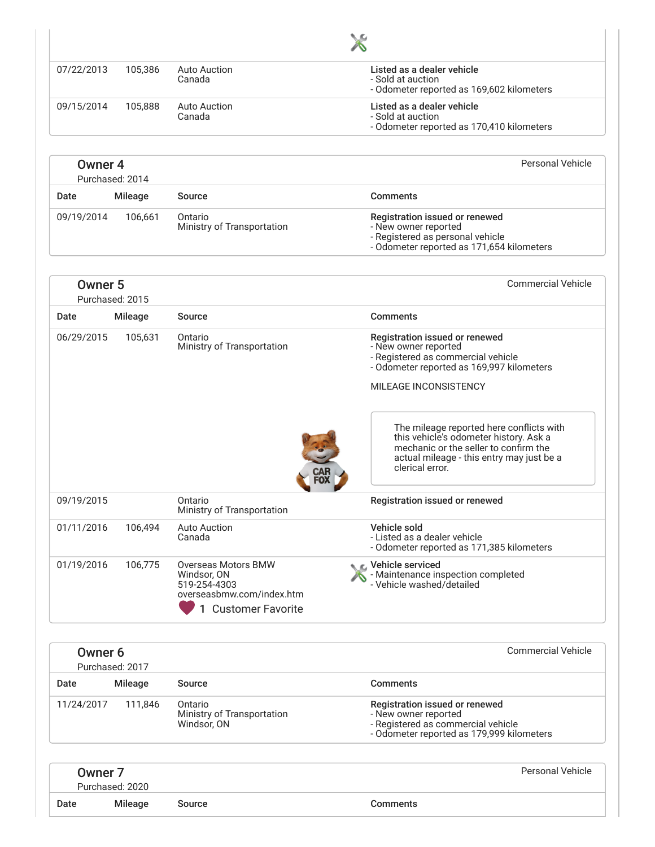| 09/15/2014                            | 105,888 |                                                                                                        |                                                                                                                                                                                             |
|---------------------------------------|---------|--------------------------------------------------------------------------------------------------------|---------------------------------------------------------------------------------------------------------------------------------------------------------------------------------------------|
|                                       |         | <b>Auto Auction</b><br>Canada                                                                          | Listed as a dealer vehicle<br>- Sold at auction<br>- Odometer reported as 170,410 kilometers                                                                                                |
| Owner <sub>4</sub><br>Purchased: 2014 |         |                                                                                                        | <b>Personal Vehicle</b>                                                                                                                                                                     |
| Date                                  | Mileage | Source                                                                                                 | <b>Comments</b>                                                                                                                                                                             |
| 09/19/2014                            | 106,661 | Ontario<br>Ministry of Transportation                                                                  | Registration issued or renewed<br>- New owner reported<br>- Registered as personal vehicle<br>- Odometer reported as 171,654 kilometers                                                     |
| Owner <sub>5</sub><br>Purchased: 2015 |         |                                                                                                        | <b>Commercial Vehicle</b>                                                                                                                                                                   |
| Date                                  | Mileage | Source                                                                                                 | <b>Comments</b>                                                                                                                                                                             |
| 06/29/2015                            | 105,631 | Ontario<br>Ministry of Transportation                                                                  | Registration issued or renewed<br>- New owner reported<br>- Registered as commercial vehicle<br>- Odometer reported as 169,997 kilometers                                                   |
|                                       |         |                                                                                                        | MILEAGE INCONSISTENCY                                                                                                                                                                       |
|                                       |         |                                                                                                        | The mileage reported here conflicts with<br>this vehicle's odometer history. Ask a<br>mechanic or the seller to confirm the<br>actual mileage - this entry may just be a<br>clerical error. |
| 09/19/2015                            |         | Ontario<br>Ministry of Transportation                                                                  | Registration issued or renewed                                                                                                                                                              |
| 01/11/2016                            | 106,494 | <b>Auto Auction</b><br>Canada                                                                          | Vehicle sold<br>- Listed as a dealer vehicle<br>- Odometer reported as 171,385 kilometers                                                                                                   |
| 01/19/2016                            | 106,775 | Overseas Motors BMW<br>Windsor, ON<br>519-254-4303<br>overseasbmw.com/index.htm<br>1 Customer Favorite | C Vehicle serviced<br>- Maintenance inspection completed<br>- Vehicle washed/detailed                                                                                                       |

| Date       | Mileage | Source                                               | <b>Comments</b>                                                                                                                           |
|------------|---------|------------------------------------------------------|-------------------------------------------------------------------------------------------------------------------------------------------|
| 11/24/2017 | 111.846 | Ontario<br>Ministry of Transportation<br>Windsor, ON | Registration issued or renewed<br>- New owner reported<br>- Registered as commercial vehicle<br>- Odometer reported as 179,999 kilometers |
|            |         |                                                      |                                                                                                                                           |

| Owner 7 |                 |        |                 | Personal Vehicle |
|---------|-----------------|--------|-----------------|------------------|
|         | Purchased: 2020 |        |                 |                  |
| Date    | Mileage         | Source | <b>Comments</b> |                  |